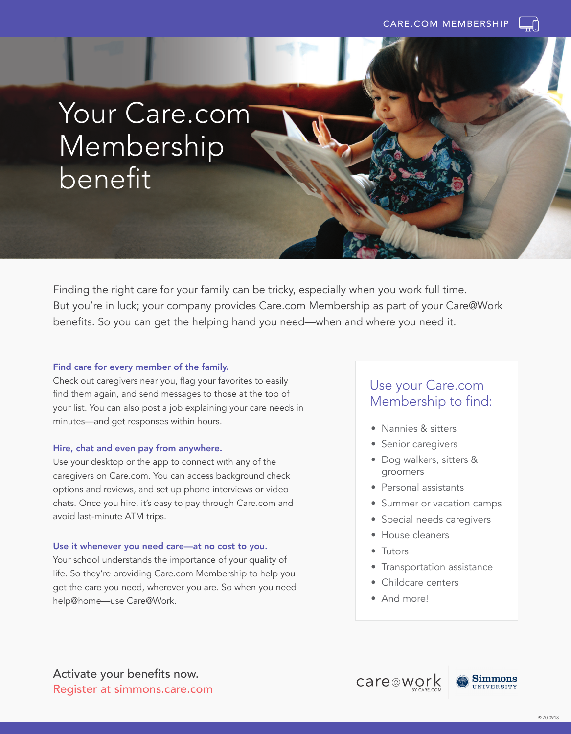

# Your Care.com Membership benefit

Finding the right care for your family can be tricky, especially when you work full time. But you're in luck; your company provides Care.com Membership as part of your Care@Work benefits. So you can get the helping hand you need—when and where you need it.

#### Find care for every member of the family.

Check out caregivers near you, flag your favorites to easily find them again, and send messages to those at the top of your list. You can also post a job explaining your care needs in minutes—and get responses within hours.

#### Hire, chat and even pay from anywhere.

Use your desktop or the app to connect with any of the caregivers on Care.com. You can access background check options and reviews, and set up phone interviews or video chats. Once you hire, it's easy to pay through Care.com and avoid last-minute ATM trips.

#### Use it whenever you need care—at no cost to you.

Your school understands the importance of your quality of life. So they're providing Care.com Membership to help you get the care you need, wherever you are. So when you need help@home—use Care@Work.

### Use your Care.com Membership to find:

- Nannies & sitters
- Senior caregivers
- Dog walkers, sitters & groomers
- Personal assistants
- Summer or vacation camps
- Special needs caregivers
- House cleaners
- Tutors
- Transportation assistance
- Childcare centers
- And more!

Activate your benefits now. Register at simmons.care.com